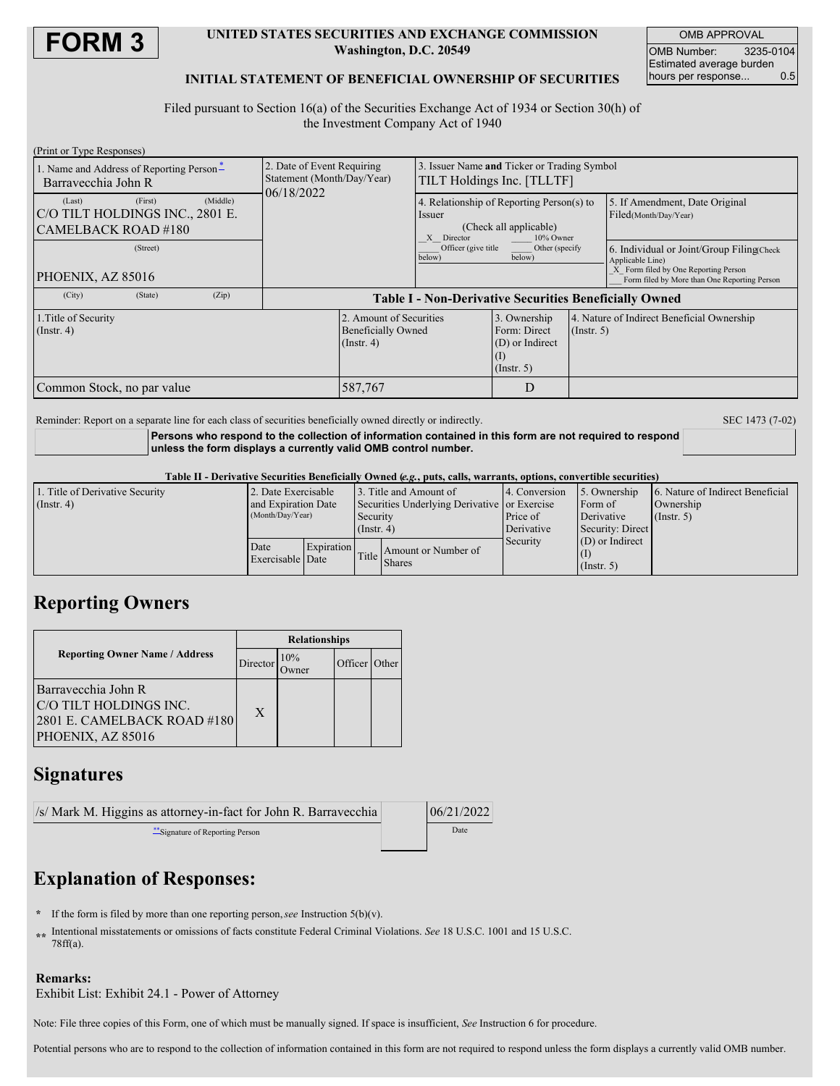

### **UNITED STATES SECURITIES AND EXCHANGE COMMISSION Washington, D.C. 20549**

OMB APPROVAL OMB Number: 3235-0104 Estimated average burden<br>hours per response... 0.5 hours per response...

### **INITIAL STATEMENT OF BENEFICIAL OWNERSHIP OF SECURITIES**

Filed pursuant to Section 16(a) of the Securities Exchange Act of 1934 or Section 30(h) of the Investment Company Act of 1940

| (Print or Type Responses)                                                                                            |                                                               |                                                                                                          |                                                                     |                  |                                                                                      |  |
|----------------------------------------------------------------------------------------------------------------------|---------------------------------------------------------------|----------------------------------------------------------------------------------------------------------|---------------------------------------------------------------------|------------------|--------------------------------------------------------------------------------------|--|
| 1. Name and Address of Reporting Person-                                                                             | 2. Date of Event Requiring                                    | 3. Issuer Name and Ticker or Trading Symbol                                                              |                                                                     |                  |                                                                                      |  |
| Barrayecchia John R                                                                                                  | Statement (Month/Day/Year)<br>06/18/2022                      | TILT Holdings Inc. [TLLTF]                                                                               |                                                                     |                  |                                                                                      |  |
| (Middle)<br>(First)<br>(Last)                                                                                        |                                                               | 4. Relationship of Reporting Person(s) to<br>Issuer<br>(Check all applicable)<br>10% Owner<br>X Director |                                                                     |                  | 5. If Amendment, Date Original<br>Filed(Month/Day/Year)                              |  |
| C/O TILT HOLDINGS INC., 2801 E.                                                                                      |                                                               |                                                                                                          |                                                                     |                  |                                                                                      |  |
| CAMELBACK ROAD #180                                                                                                  |                                                               |                                                                                                          |                                                                     |                  |                                                                                      |  |
| (Street)                                                                                                             |                                                               | Officer (give title<br>below)                                                                            | Other (specify<br>below)                                            |                  | 6. Individual or Joint/Group Filing Check<br>Applicable Line)                        |  |
| PHOENIX, AZ 85016                                                                                                    |                                                               |                                                                                                          |                                                                     |                  | X Form filed by One Reporting Person<br>Form filed by More than One Reporting Person |  |
| (City)<br>(State)<br>(Zip)                                                                                           | <b>Table I - Non-Derivative Securities Beneficially Owned</b> |                                                                                                          |                                                                     |                  |                                                                                      |  |
| 2. Amount of Securities<br>1. Title of Security<br><b>Beneficially Owned</b><br>$($ Instr. 4 $)$<br>$($ Instr. 4 $)$ |                                                               |                                                                                                          | 3. Ownership<br>Form: Direct<br>(D) or Indirect<br>$($ Instr. 5 $)$ | $($ Instr. 5 $)$ | 4. Nature of Indirect Beneficial Ownership                                           |  |
| 587,767<br>Common Stock, no par value                                                                                |                                                               |                                                                                                          | D                                                                   |                  |                                                                                      |  |

Reminder: Report on a separate line for each class of securities beneficially owned directly or indirectly. SEC 1473 (7-02)

**Persons who respond to the collection of information contained in this form are not required to respond unless the form displays a currently valid OMB control number.**

#### Table II - Derivative Securities Beneficially Owned (e.g., puts, calls, warrants, options, convertible securities)

| 1. Title of Derivative Security | 2. Date Exercisable      |                   |                                              | 13. Title and Amount of | 4. Conversion | 5. Ownership     | 6. Nature of Indirect Beneficial |
|---------------------------------|--------------------------|-------------------|----------------------------------------------|-------------------------|---------------|------------------|----------------------------------|
| $($ Instr. 4)                   | and Expiration Date      |                   | Securities Underlying Derivative or Exercise |                         |               | Form of          | Ownership                        |
|                                 | (Month/Day/Year)         |                   | Security                                     |                         | Price of      | Derivative       | $($ Instr. 5 $)$                 |
|                                 |                          |                   | $($ Instr. 4 $)$                             |                         | Derivative    | Security: Direct |                                  |
|                                 | Date<br>Exercisable Date | <b>Expiration</b> |                                              | Amount or Number of     | Security      | (D) or Indirect  |                                  |
|                                 |                          |                   | Title                                        |                         |               |                  |                                  |
|                                 |                          |                   |                                              | <b>Shares</b>           |               | $($ Instr. 5 $)$ |                                  |

## **Reporting Owners**

|                                                                                                   | <b>Relationships</b> |     |         |              |  |
|---------------------------------------------------------------------------------------------------|----------------------|-----|---------|--------------|--|
| <b>Reporting Owner Name / Address</b>                                                             | Director             | 10% | Officer | <b>Other</b> |  |
| Barrayecchia John R<br>C/O TILT HOLDINGS INC.<br>2801 E. CAMELBACK ROAD #180<br>PHOENIX, AZ 85016 | X                    |     |         |              |  |

## **Signatures**

| /s/ Mark M. Higgins as attorney-in-fact for John R. Barravecchia | 06/21/2022 |  |
|------------------------------------------------------------------|------------|--|
| Signature of Reporting Person                                    | Date       |  |

# **Explanation of Responses:**

- **\*** If the form is filed by more than one reporting person,*see* Instruction 5(b)(v).
- **\*\*** Intentional misstatements or omissions of facts constitute Federal Criminal Violations. *See* 18 U.S.C. 1001 and 15 U.S.C. 78ff(a).

### **Remarks:**

Exhibit List: Exhibit 24.1 - Power of Attorney

Note: File three copies of this Form, one of which must be manually signed. If space is insufficient, *See* Instruction 6 for procedure.

Potential persons who are to respond to the collection of information contained in this form are not required to respond unless the form displays a currently valid OMB number.